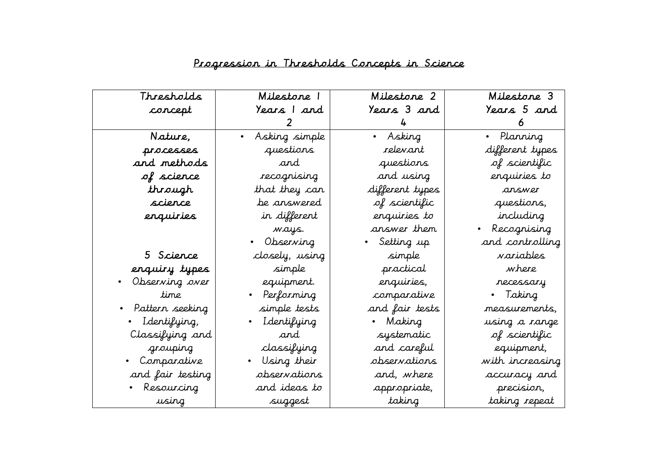| Thresholds        | Milestone 1                | Milestone 2     | Milestone 3     |
|-------------------|----------------------------|-----------------|-----------------|
| corcept           | Years I and                | Years 3 and     | Years 5 and     |
|                   |                            |                 |                 |
| Nature,           | Asking simple<br>$\bullet$ | • Asking        | • Planning      |
| processes         | questions                  | relevant        | different types |
| and methods       | and                        | questions       | of scientific   |
| of science        | recognising                | and using       | enquiries to    |
| through           | that they can              | different types | answer          |
| scierce           | be answered                | of scientific   | questions,      |
| erquiries         | in different               | enquiries to    | including       |
|                   | ways.                      | answer them     | Recognising     |
|                   | Observing                  | Setting up      | and controlling |
| 5 Science         | closely, using             | simple          | variables       |
| enquiry types     | simple                     | practical       | where           |
| Observing over    | equipment.                 | enquiries,      | recessary       |
| time              | • Performing               | comparative     | • Taking        |
| • Pattern seeking | simple tests               | and fair tests  | measurements.   |
| • Identifying,    | • Identifying              | • Making        | using a range   |
| Classifying and   | and                        | systematic      | of scientific   |
| grouping          | classifying                | and careful     | equipment,      |
| • Comparative     | • Using their              | observations    | with increasing |
| and fair testing  | observations               | and, where      | accuracy and    |
| • Resourcing      | and ideas to               | appropriate,    | precision,      |
| using             | suggest                    | taking          | taking repeat   |

## Progression in Thresholds Concepts in Science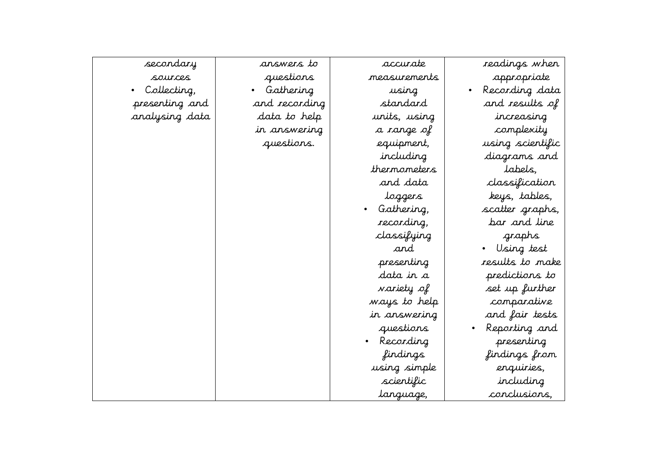| accurate     | readings when    |
|--------------|------------------|
| measurements | appropriate      |
| using        | Recording data   |
| standard     | and results of   |
| units, using | increasing       |
| a range of   | complexity       |
| equipment,   | using scientific |
| including    | diagrams and     |
| thermometers | labels,          |
| and data     | classification   |
| loggers      | keys, tables,    |
| Gathering,   | scatter graphs,  |
| recording,   | bar and line     |
| classifying  | graphs           |
| and          | Using test       |
| presenting   | results to make  |
| data in a    | predictions to   |
| variety of   | set up further   |
| ways to help | comparative      |
| in answering | and fair tests   |
| questions    | Reporting and    |
| Recording    | presenting       |
| findings     | findings from    |
| using simple | enquiries,       |
| scientific   | including        |
| language,    | conclusions,     |
|              |                  |

accurate measurement using standard units, using a range of equipment, including thermometer and data loggers • Gathering, recording, classifying

answers to questions

• Gathering and recording data to help in answering questions.

## secondary

sources • Collecting, presenting and analysing data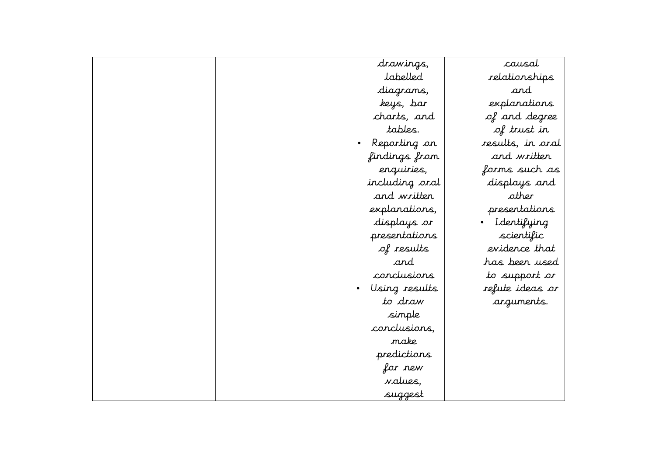| drawings,       | causal                   |
|-----------------|--------------------------|
| labelled        | relationships            |
| diagrams,       | and                      |
| keys, bar       | explanations             |
| charts, and     | of and degree            |
| tables.         | of trust in              |
| Reporting on    | results, in oral         |
| findings from   | and written              |
| enquiries,      | forms such as            |
| including oral  | displays and             |
| and written     | other                    |
| explanations,   | presentations            |
| displays or     | Identifying<br>$\bullet$ |
| presentations   | scientific               |
| of results      | evidence that            |
| and             | has been used            |
| conclusions     | to support or            |
| Using results   | refute ideas or          |
| to draw         | arguments.               |
| simple          |                          |
| conclusions,    |                          |
| nake            |                          |
| predictions     |                          |
| for new         |                          |
| <i>values</i> , |                          |
| suggest         |                          |